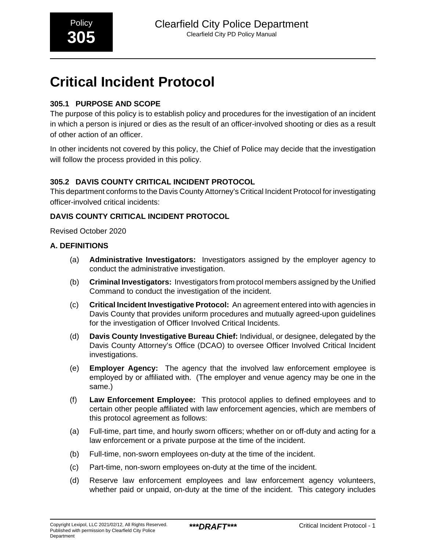# **Critical Incident Protocol**

# **305.1 PURPOSE AND SCOPE**

The purpose of this policy is to establish policy and procedures for the investigation of an incident in which a person is injured or dies as the result of an officer-involved shooting or dies as a result of other action of an officer.

In other incidents not covered by this policy, the Chief of Police may decide that the investigation will follow the process provided in this policy.

# **305.2 DAVIS COUNTY CRITICAL INCIDENT PROTOCOL**

This department conforms to the Davis County Attorney's Critical Incident Protocol for investigating officer-involved critical incidents:

# **DAVIS COUNTY CRITICAL INCIDENT PROTOCOL**

Revised October 2020

# **A. DEFINITIONS**

- (a) **Administrative Investigators:** Investigators assigned by the employer agency to conduct the administrative investigation.
- (b) **Criminal Investigators:** Investigators from protocol members assigned by the Unified Command to conduct the investigation of the incident.
- (c) **Critical Incident Investigative Protocol:** An agreement entered into with agencies in Davis County that provides uniform procedures and mutually agreed-upon guidelines for the investigation of Officer Involved Critical Incidents.
- (d) **Davis County Investigative Bureau Chief:** Individual, or designee, delegated by the Davis County Attorney's Office (DCAO) to oversee Officer Involved Critical Incident investigations.
- (e) **Employer Agency:** The agency that the involved law enforcement employee is employed by or affiliated with. (The employer and venue agency may be one in the same.)
- (f) **Law Enforcement Employee:** This protocol applies to defined employees and to certain other people affiliated with law enforcement agencies, which are members of this protocol agreement as follows:
- (a) Full-time, part time, and hourly sworn officers; whether on or off-duty and acting for a law enforcement or a private purpose at the time of the incident.
- (b) Full-time, non-sworn employees on-duty at the time of the incident.
- (c) Part-time, non-sworn employees on-duty at the time of the incident.
- (d) Reserve law enforcement employees and law enforcement agency volunteers, whether paid or unpaid, on-duty at the time of the incident. This category includes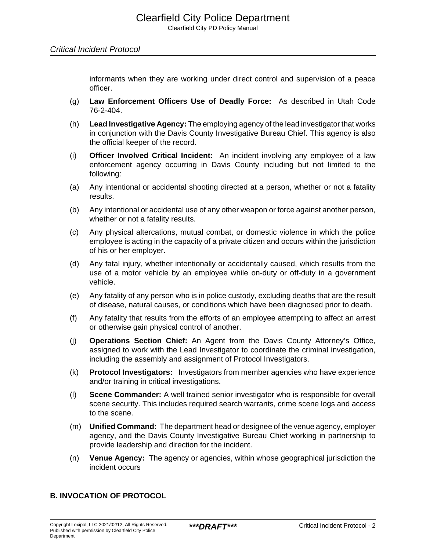informants when they are working under direct control and supervision of a peace officer.

- (g) **Law Enforcement Officers Use of Deadly Force:** As described in Utah Code 76-2-404.
- (h) **Lead Investigative Agency:** The employing agency of the lead investigator that works in conjunction with the Davis County Investigative Bureau Chief. This agency is also the official keeper of the record.
- (i) **Officer Involved Critical Incident:** An incident involving any employee of a law enforcement agency occurring in Davis County including but not limited to the following:
- (a) Any intentional or accidental shooting directed at a person, whether or not a fatality results.
- (b) Any intentional or accidental use of any other weapon or force against another person, whether or not a fatality results.
- (c) Any physical altercations, mutual combat, or domestic violence in which the police employee is acting in the capacity of a private citizen and occurs within the jurisdiction of his or her employer.
- (d) Any fatal injury, whether intentionally or accidentally caused, which results from the use of a motor vehicle by an employee while on-duty or off-duty in a government vehicle.
- (e) Any fatality of any person who is in police custody, excluding deaths that are the result of disease, natural causes, or conditions which have been diagnosed prior to death.
- (f) Any fatality that results from the efforts of an employee attempting to affect an arrest or otherwise gain physical control of another.
- (j) **Operations Section Chief:** An Agent from the Davis County Attorney's Office, assigned to work with the Lead Investigator to coordinate the criminal investigation, including the assembly and assignment of Protocol Investigators.
- (k) **Protocol Investigators:** Investigators from member agencies who have experience and/or training in critical investigations.
- (l) **Scene Commander:** A well trained senior investigator who is responsible for overall scene security. This includes required search warrants, crime scene logs and access to the scene.
- (m) **Unified Command:** The department head or designee of the venue agency, employer agency, and the Davis County Investigative Bureau Chief working in partnership to provide leadership and direction for the incident.
- (n) **Venue Agency:** The agency or agencies, within whose geographical jurisdiction the incident occurs

## **B. INVOCATION OF PROTOCOL**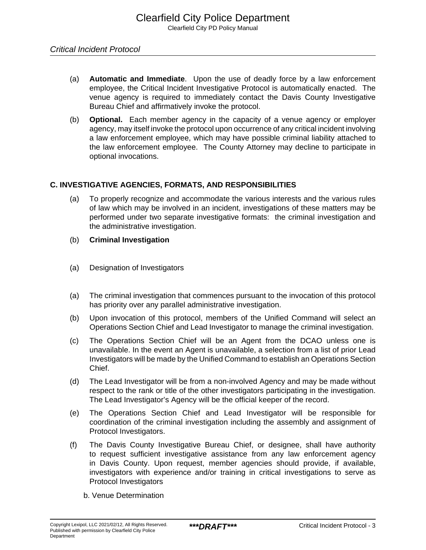- (a) **Automatic and Immediate**. Upon the use of deadly force by a law enforcement employee, the Critical Incident Investigative Protocol is automatically enacted. The venue agency is required to immediately contact the Davis County Investigative Bureau Chief and affirmatively invoke the protocol.
- (b) **Optional.** Each member agency in the capacity of a venue agency or employer agency, may itself invoke the protocol upon occurrence of any critical incident involving a law enforcement employee, which may have possible criminal liability attached to the law enforcement employee. The County Attorney may decline to participate in optional invocations.

## **C. INVESTIGATIVE AGENCIES, FORMATS, AND RESPONSIBILITIES**

- (a) To properly recognize and accommodate the various interests and the various rules of law which may be involved in an incident, investigations of these matters may be performed under two separate investigative formats: the criminal investigation and the administrative investigation.
- (b) **Criminal Investigation**
- (a) Designation of Investigators
- (a) The criminal investigation that commences pursuant to the invocation of this protocol has priority over any parallel administrative investigation.
- (b) Upon invocation of this protocol, members of the Unified Command will select an Operations Section Chief and Lead Investigator to manage the criminal investigation.
- (c) The Operations Section Chief will be an Agent from the DCAO unless one is unavailable. In the event an Agent is unavailable, a selection from a list of prior Lead Investigators will be made by the Unified Command to establish an Operations Section Chief.
- (d) The Lead Investigator will be from a non-involved Agency and may be made without respect to the rank or title of the other investigators participating in the investigation. The Lead Investigator's Agency will be the official keeper of the record.
- (e) The Operations Section Chief and Lead Investigator will be responsible for coordination of the criminal investigation including the assembly and assignment of Protocol Investigators.
- (f) The Davis County Investigative Bureau Chief, or designee, shall have authority to request sufficient investigative assistance from any law enforcement agency in Davis County. Upon request, member agencies should provide, if available, investigators with experience and/or training in critical investigations to serve as Protocol Investigators
	- b. Venue Determination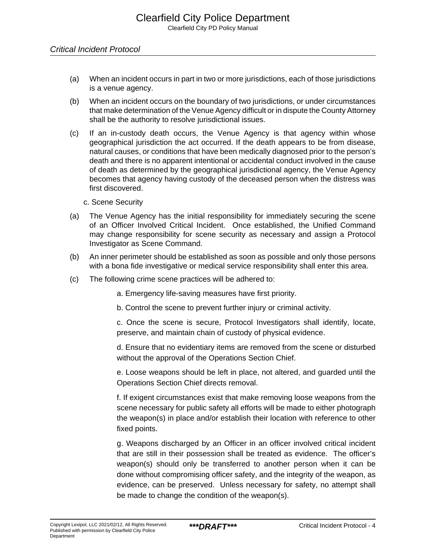- (a) When an incident occurs in part in two or more jurisdictions, each of those jurisdictions is a venue agency.
- (b) When an incident occurs on the boundary of two jurisdictions, or under circumstances that make determination of the Venue Agency difficult or in dispute the County Attorney shall be the authority to resolve jurisdictional issues.
- (c) If an in-custody death occurs, the Venue Agency is that agency within whose geographical jurisdiction the act occurred. If the death appears to be from disease, natural causes, or conditions that have been medically diagnosed prior to the person's death and there is no apparent intentional or accidental conduct involved in the cause of death as determined by the geographical jurisdictional agency, the Venue Agency becomes that agency having custody of the deceased person when the distress was first discovered.
	- c. Scene Security
- (a) The Venue Agency has the initial responsibility for immediately securing the scene of an Officer Involved Critical Incident. Once established, the Unified Command may change responsibility for scene security as necessary and assign a Protocol Investigator as Scene Command.
- (b) An inner perimeter should be established as soon as possible and only those persons with a bona fide investigative or medical service responsibility shall enter this area.
- (c) The following crime scene practices will be adhered to:

a. Emergency life-saving measures have first priority.

b. Control the scene to prevent further injury or criminal activity.

c. Once the scene is secure, Protocol Investigators shall identify, locate, preserve, and maintain chain of custody of physical evidence.

d. Ensure that no evidentiary items are removed from the scene or disturbed without the approval of the Operations Section Chief.

e. Loose weapons should be left in place, not altered, and guarded until the Operations Section Chief directs removal.

f. If exigent circumstances exist that make removing loose weapons from the scene necessary for public safety all efforts will be made to either photograph the weapon(s) in place and/or establish their location with reference to other fixed points.

g. Weapons discharged by an Officer in an officer involved critical incident that are still in their possession shall be treated as evidence. The officer's weapon(s) should only be transferred to another person when it can be done without compromising officer safety, and the integrity of the weapon, as evidence, can be preserved. Unless necessary for safety, no attempt shall be made to change the condition of the weapon(s).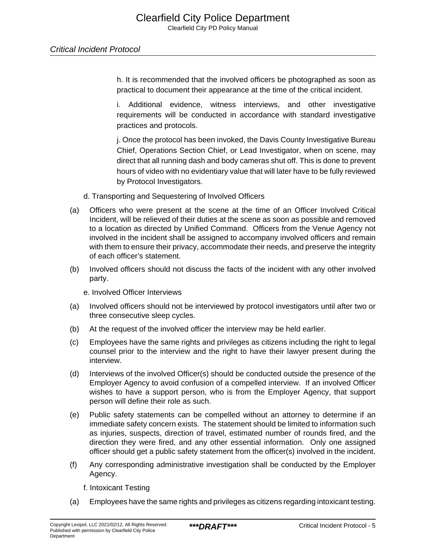h. It is recommended that the involved officers be photographed as soon as practical to document their appearance at the time of the critical incident.

i. Additional evidence, witness interviews, and other investigative requirements will be conducted in accordance with standard investigative practices and protocols.

j. Once the protocol has been invoked, the Davis County Investigative Bureau Chief, Operations Section Chief, or Lead Investigator, when on scene, may direct that all running dash and body cameras shut off. This is done to prevent hours of video with no evidentiary value that will later have to be fully reviewed by Protocol Investigators.

- d. Transporting and Sequestering of Involved Officers
- (a) Officers who were present at the scene at the time of an Officer Involved Critical Incident, will be relieved of their duties at the scene as soon as possible and removed to a location as directed by Unified Command. Officers from the Venue Agency not involved in the incident shall be assigned to accompany involved officers and remain with them to ensure their privacy, accommodate their needs, and preserve the integrity of each officer's statement.
- (b) Involved officers should not discuss the facts of the incident with any other involved party.

e. Involved Officer Interviews

- (a) Involved officers should not be interviewed by protocol investigators until after two or three consecutive sleep cycles.
- (b) At the request of the involved officer the interview may be held earlier.
- (c) Employees have the same rights and privileges as citizens including the right to legal counsel prior to the interview and the right to have their lawyer present during the interview.
- (d) Interviews of the involved Officer(s) should be conducted outside the presence of the Employer Agency to avoid confusion of a compelled interview. If an involved Officer wishes to have a support person, who is from the Employer Agency, that support person will define their role as such.
- (e) Public safety statements can be compelled without an attorney to determine if an immediate safety concern exists. The statement should be limited to information such as injuries, suspects, direction of travel, estimated number of rounds fired, and the direction they were fired, and any other essential information. Only one assigned officer should get a public safety statement from the officer(s) involved in the incident.
- (f) Any corresponding administrative investigation shall be conducted by the Employer Agency.
	- f. Intoxicant Testing
- (a) Employees have the same rights and privileges as citizens regarding intoxicant testing.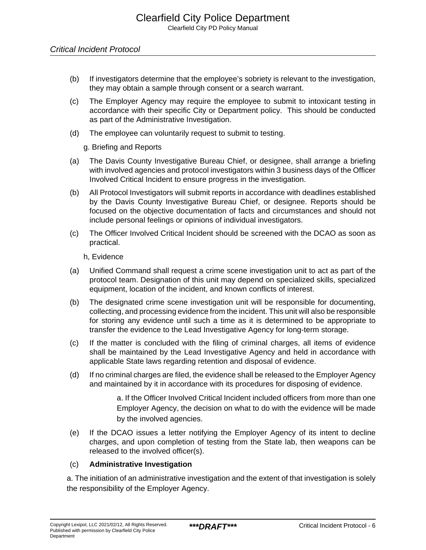- (b) If investigators determine that the employee's sobriety is relevant to the investigation, they may obtain a sample through consent or a search warrant.
- (c) The Employer Agency may require the employee to submit to intoxicant testing in accordance with their specific City or Department policy. This should be conducted as part of the Administrative Investigation.
- (d) The employee can voluntarily request to submit to testing.

g. Briefing and Reports

- (a) The Davis County Investigative Bureau Chief, or designee, shall arrange a briefing with involved agencies and protocol investigators within 3 business days of the Officer Involved Critical Incident to ensure progress in the investigation.
- (b) All Protocol Investigators will submit reports in accordance with deadlines established by the Davis County Investigative Bureau Chief, or designee. Reports should be focused on the objective documentation of facts and circumstances and should not include personal feelings or opinions of individual investigators.
- (c) The Officer Involved Critical Incident should be screened with the DCAO as soon as practical.

#### h, Evidence

- (a) Unified Command shall request a crime scene investigation unit to act as part of the protocol team. Designation of this unit may depend on specialized skills, specialized equipment, location of the incident, and known conflicts of interest.
- (b) The designated crime scene investigation unit will be responsible for documenting, collecting, and processing evidence from the incident. This unit will also be responsible for storing any evidence until such a time as it is determined to be appropriate to transfer the evidence to the Lead Investigative Agency for long-term storage.
- (c) If the matter is concluded with the filing of criminal charges, all items of evidence shall be maintained by the Lead Investigative Agency and held in accordance with applicable State laws regarding retention and disposal of evidence.
- (d) If no criminal charges are filed, the evidence shall be released to the Employer Agency and maintained by it in accordance with its procedures for disposing of evidence.

a. If the Officer Involved Critical Incident included officers from more than one Employer Agency, the decision on what to do with the evidence will be made by the involved agencies.

(e) If the DCAO issues a letter notifying the Employer Agency of its intent to decline charges, and upon completion of testing from the State lab, then weapons can be released to the involved officer(s).

#### (c) **Administrative Investigation**

a. The initiation of an administrative investigation and the extent of that investigation is solely the responsibility of the Employer Agency.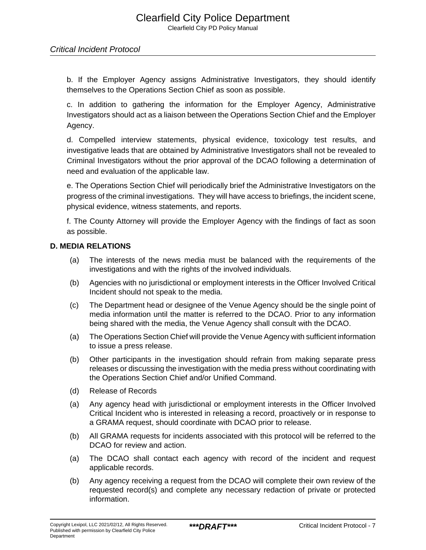b. If the Employer Agency assigns Administrative Investigators, they should identify themselves to the Operations Section Chief as soon as possible.

c. In addition to gathering the information for the Employer Agency, Administrative Investigators should act as a liaison between the Operations Section Chief and the Employer Agency.

d. Compelled interview statements, physical evidence, toxicology test results, and investigative leads that are obtained by Administrative Investigators shall not be revealed to Criminal Investigators without the prior approval of the DCAO following a determination of need and evaluation of the applicable law.

e. The Operations Section Chief will periodically brief the Administrative Investigators on the progress of the criminal investigations. They will have access to briefings, the incident scene, physical evidence, witness statements, and reports.

f. The County Attorney will provide the Employer Agency with the findings of fact as soon as possible.

#### **D. MEDIA RELATIONS**

- (a) The interests of the news media must be balanced with the requirements of the investigations and with the rights of the involved individuals.
- (b) Agencies with no jurisdictional or employment interests in the Officer Involved Critical Incident should not speak to the media.
- (c) The Department head or designee of the Venue Agency should be the single point of media information until the matter is referred to the DCAO. Prior to any information being shared with the media, the Venue Agency shall consult with the DCAO.
- (a) The Operations Section Chief will provide the Venue Agency with sufficient information to issue a press release.
- (b) Other participants in the investigation should refrain from making separate press releases or discussing the investigation with the media press without coordinating with the Operations Section Chief and/or Unified Command.
- (d) Release of Records
- (a) Any agency head with jurisdictional or employment interests in the Officer Involved Critical Incident who is interested in releasing a record, proactively or in response to a GRAMA request, should coordinate with DCAO prior to release.
- (b) All GRAMA requests for incidents associated with this protocol will be referred to the DCAO for review and action.
- (a) The DCAO shall contact each agency with record of the incident and request applicable records.
- (b) Any agency receiving a request from the DCAO will complete their own review of the requested record(s) and complete any necessary redaction of private or protected information.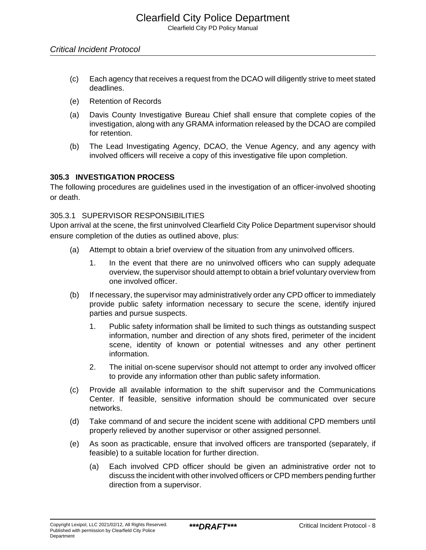- (c) Each agency that receives a request from the DCAO will diligently strive to meet stated deadlines.
- (e) Retention of Records
- (a) Davis County Investigative Bureau Chief shall ensure that complete copies of the investigation, along with any GRAMA information released by the DCAO are compiled for retention.
- (b) The Lead Investigating Agency, DCAO, the Venue Agency, and any agency with involved officers will receive a copy of this investigative file upon completion.

#### **305.3 INVESTIGATION PROCESS**

The following procedures are guidelines used in the investigation of an officer-involved shooting or death.

#### 305.3.1 SUPERVISOR RESPONSIBILITIES

Upon arrival at the scene, the first uninvolved Clearfield City Police Department supervisor should ensure completion of the duties as outlined above, plus:

- (a) Attempt to obtain a brief overview of the situation from any uninvolved officers.
	- 1. In the event that there are no uninvolved officers who can supply adequate overview, the supervisor should attempt to obtain a brief voluntary overview from one involved officer.
- (b) If necessary, the supervisor may administratively order any CPD officer to immediately provide public safety information necessary to secure the scene, identify injured parties and pursue suspects.
	- 1. Public safety information shall be limited to such things as outstanding suspect information, number and direction of any shots fired, perimeter of the incident scene, identity of known or potential witnesses and any other pertinent information.
	- 2. The initial on-scene supervisor should not attempt to order any involved officer to provide any information other than public safety information.
- (c) Provide all available information to the shift supervisor and the Communications Center. If feasible, sensitive information should be communicated over secure networks.
- (d) Take command of and secure the incident scene with additional CPD members until properly relieved by another supervisor or other assigned personnel.
- (e) As soon as practicable, ensure that involved officers are transported (separately, if feasible) to a suitable location for further direction.
	- (a) Each involved CPD officer should be given an administrative order not to discuss the incident with other involved officers or CPD members pending further direction from a supervisor.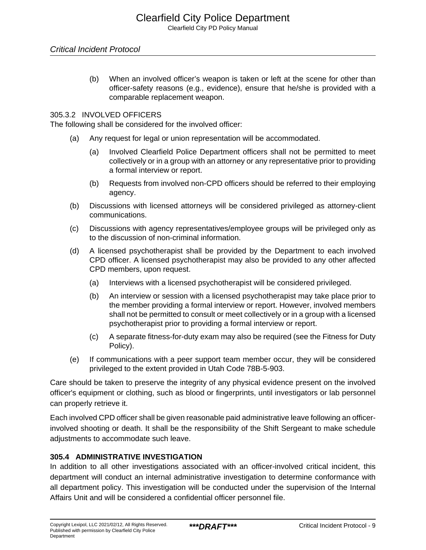(b) When an involved officer's weapon is taken or left at the scene for other than officer-safety reasons (e.g., evidence), ensure that he/she is provided with a comparable replacement weapon.

## 305.3.2 INVOLVED OFFICERS

The following shall be considered for the involved officer:

- (a) Any request for legal or union representation will be accommodated.
	- (a) Involved Clearfield Police Department officers shall not be permitted to meet collectively or in a group with an attorney or any representative prior to providing a formal interview or report.
	- (b) Requests from involved non-CPD officers should be referred to their employing agency.
- (b) Discussions with licensed attorneys will be considered privileged as attorney-client communications.
- (c) Discussions with agency representatives/employee groups will be privileged only as to the discussion of non-criminal information.
- (d) A licensed psychotherapist shall be provided by the Department to each involved CPD officer. A licensed psychotherapist may also be provided to any other affected CPD members, upon request.
	- (a) Interviews with a licensed psychotherapist will be considered privileged.
	- (b) An interview or session with a licensed psychotherapist may take place prior to the member providing a formal interview or report. However, involved members shall not be permitted to consult or meet collectively or in a group with a licensed psychotherapist prior to providing a formal interview or report.
	- (c) A separate fitness-for-duty exam may also be required (see the Fitness for Duty Policy).
- (e) If communications with a peer support team member occur, they will be considered privileged to the extent provided in Utah Code 78B-5-903.

Care should be taken to preserve the integrity of any physical evidence present on the involved officer's equipment or clothing, such as blood or fingerprints, until investigators or lab personnel can properly retrieve it.

Each involved CPD officer shall be given reasonable paid administrative leave following an officerinvolved shooting or death. It shall be the responsibility of the Shift Sergeant to make schedule adjustments to accommodate such leave.

## **305.4 ADMINISTRATIVE INVESTIGATION**

In addition to all other investigations associated with an officer-involved critical incident, this department will conduct an internal administrative investigation to determine conformance with all department policy. This investigation will be conducted under the supervision of the Internal Affairs Unit and will be considered a confidential officer personnel file.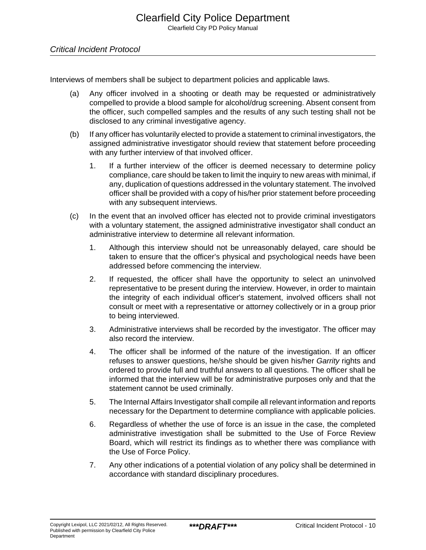#### Critical Incident Protocol

Interviews of members shall be subject to department policies and applicable laws.

- (a) Any officer involved in a shooting or death may be requested or administratively compelled to provide a blood sample for alcohol/drug screening. Absent consent from the officer, such compelled samples and the results of any such testing shall not be disclosed to any criminal investigative agency.
- (b) If any officer has voluntarily elected to provide a statement to criminal investigators, the assigned administrative investigator should review that statement before proceeding with any further interview of that involved officer.
	- 1. If a further interview of the officer is deemed necessary to determine policy compliance, care should be taken to limit the inquiry to new areas with minimal, if any, duplication of questions addressed in the voluntary statement. The involved officer shall be provided with a copy of his/her prior statement before proceeding with any subsequent interviews.
- (c) In the event that an involved officer has elected not to provide criminal investigators with a voluntary statement, the assigned administrative investigator shall conduct an administrative interview to determine all relevant information.
	- 1. Although this interview should not be unreasonably delayed, care should be taken to ensure that the officer's physical and psychological needs have been addressed before commencing the interview.
	- 2. If requested, the officer shall have the opportunity to select an uninvolved representative to be present during the interview. However, in order to maintain the integrity of each individual officer's statement, involved officers shall not consult or meet with a representative or attorney collectively or in a group prior to being interviewed.
	- 3. Administrative interviews shall be recorded by the investigator. The officer may also record the interview.
	- 4. The officer shall be informed of the nature of the investigation. If an officer refuses to answer questions, he/she should be given his/her Garrity rights and ordered to provide full and truthful answers to all questions. The officer shall be informed that the interview will be for administrative purposes only and that the statement cannot be used criminally.
	- 5. The Internal Affairs Investigator shall compile all relevant information and reports necessary for the Department to determine compliance with applicable policies.
	- 6. Regardless of whether the use of force is an issue in the case, the completed administrative investigation shall be submitted to the Use of Force Review Board, which will restrict its findings as to whether there was compliance with the Use of Force Policy.
	- 7. Any other indications of a potential violation of any policy shall be determined in accordance with standard disciplinary procedures.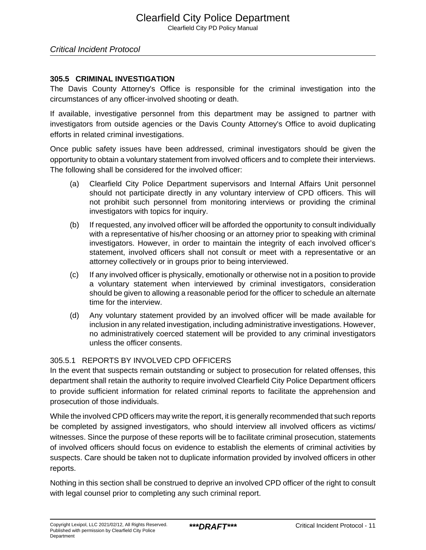# Critical Incident Protocol

#### **305.5 CRIMINAL INVESTIGATION**

The Davis County Attorney's Office is responsible for the criminal investigation into the circumstances of any officer-involved shooting or death.

If available, investigative personnel from this department may be assigned to partner with investigators from outside agencies or the Davis County Attorney's Office to avoid duplicating efforts in related criminal investigations.

Once public safety issues have been addressed, criminal investigators should be given the opportunity to obtain a voluntary statement from involved officers and to complete their interviews. The following shall be considered for the involved officer:

- (a) Clearfield City Police Department supervisors and Internal Affairs Unit personnel should not participate directly in any voluntary interview of CPD officers. This will not prohibit such personnel from monitoring interviews or providing the criminal investigators with topics for inquiry.
- (b) If requested, any involved officer will be afforded the opportunity to consult individually with a representative of his/her choosing or an attorney prior to speaking with criminal investigators. However, in order to maintain the integrity of each involved officer's statement, involved officers shall not consult or meet with a representative or an attorney collectively or in groups prior to being interviewed.
- (c) If any involved officer is physically, emotionally or otherwise not in a position to provide a voluntary statement when interviewed by criminal investigators, consideration should be given to allowing a reasonable period for the officer to schedule an alternate time for the interview.
- (d) Any voluntary statement provided by an involved officer will be made available for inclusion in any related investigation, including administrative investigations. However, no administratively coerced statement will be provided to any criminal investigators unless the officer consents.

# 305.5.1 REPORTS BY INVOLVED CPD OFFICERS

In the event that suspects remain outstanding or subject to prosecution for related offenses, this department shall retain the authority to require involved Clearfield City Police Department officers to provide sufficient information for related criminal reports to facilitate the apprehension and prosecution of those individuals.

While the involved CPD officers may write the report, it is generally recommended that such reports be completed by assigned investigators, who should interview all involved officers as victims/ witnesses. Since the purpose of these reports will be to facilitate criminal prosecution, statements of involved officers should focus on evidence to establish the elements of criminal activities by suspects. Care should be taken not to duplicate information provided by involved officers in other reports.

Nothing in this section shall be construed to deprive an involved CPD officer of the right to consult with legal counsel prior to completing any such criminal report.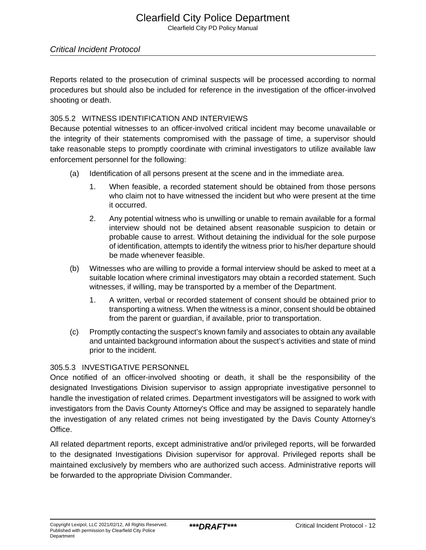# Clearfield City Police Department

Clearfield City PD Policy Manual

#### Critical Incident Protocol

Reports related to the prosecution of criminal suspects will be processed according to normal procedures but should also be included for reference in the investigation of the officer-involved shooting or death.

#### 305.5.2 WITNESS IDENTIFICATION AND INTERVIEWS

Because potential witnesses to an officer-involved critical incident may become unavailable or the integrity of their statements compromised with the passage of time, a supervisor should take reasonable steps to promptly coordinate with criminal investigators to utilize available law enforcement personnel for the following:

- (a) Identification of all persons present at the scene and in the immediate area.
	- 1. When feasible, a recorded statement should be obtained from those persons who claim not to have witnessed the incident but who were present at the time it occurred.
	- 2. Any potential witness who is unwilling or unable to remain available for a formal interview should not be detained absent reasonable suspicion to detain or probable cause to arrest. Without detaining the individual for the sole purpose of identification, attempts to identify the witness prior to his/her departure should be made whenever feasible.
- (b) Witnesses who are willing to provide a formal interview should be asked to meet at a suitable location where criminal investigators may obtain a recorded statement. Such witnesses, if willing, may be transported by a member of the Department.
	- 1. A written, verbal or recorded statement of consent should be obtained prior to transporting a witness. When the witness is a minor, consent should be obtained from the parent or guardian, if available, prior to transportation.
- (c) Promptly contacting the suspect's known family and associates to obtain any available and untainted background information about the suspect's activities and state of mind prior to the incident.

# 305.5.3 INVESTIGATIVE PERSONNEL

Once notified of an officer-involved shooting or death, it shall be the responsibility of the designated Investigations Division supervisor to assign appropriate investigative personnel to handle the investigation of related crimes. Department investigators will be assigned to work with investigators from the Davis County Attorney's Office and may be assigned to separately handle the investigation of any related crimes not being investigated by the Davis County Attorney's Office.

All related department reports, except administrative and/or privileged reports, will be forwarded to the designated Investigations Division supervisor for approval. Privileged reports shall be maintained exclusively by members who are authorized such access. Administrative reports will be forwarded to the appropriate Division Commander.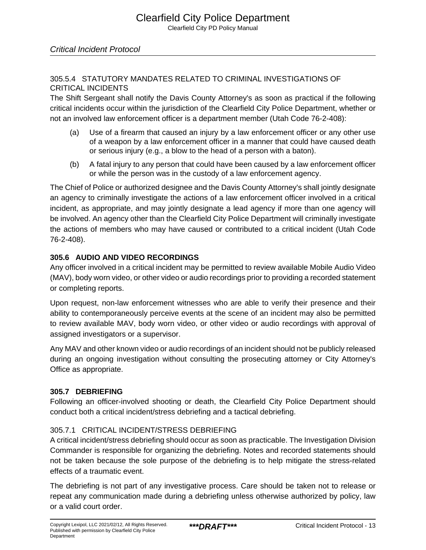## 305.5.4 STATUTORY MANDATES RELATED TO CRIMINAL INVESTIGATIONS OF CRITICAL INCIDENTS

The Shift Sergeant shall notify the Davis County Attorney's as soon as practical if the following critical incidents occur within the jurisdiction of the Clearfield City Police Department, whether or not an involved law enforcement officer is a department member (Utah Code 76-2-408):

- (a) Use of a firearm that caused an injury by a law enforcement officer or any other use of a weapon by a law enforcement officer in a manner that could have caused death or serious injury (e.g., a blow to the head of a person with a baton).
- (b) A fatal injury to any person that could have been caused by a law enforcement officer or while the person was in the custody of a law enforcement agency.

The Chief of Police or authorized designee and the Davis County Attorney's shall jointly designate an agency to criminally investigate the actions of a law enforcement officer involved in a critical incident, as appropriate, and may jointly designate a lead agency if more than one agency will be involved. An agency other than the Clearfield City Police Department will criminally investigate the actions of members who may have caused or contributed to a critical incident (Utah Code 76-2-408).

# **305.6 AUDIO AND VIDEO RECORDINGS**

Any officer involved in a critical incident may be permitted to review available Mobile Audio Video (MAV), body worn video, or other video or audio recordings prior to providing a recorded statement or completing reports.

Upon request, non-law enforcement witnesses who are able to verify their presence and their ability to contemporaneously perceive events at the scene of an incident may also be permitted to review available MAV, body worn video, or other video or audio recordings with approval of assigned investigators or a supervisor.

Any MAV and other known video or audio recordings of an incident should not be publicly released during an ongoing investigation without consulting the prosecuting attorney or City Attorney's Office as appropriate.

# **305.7 DEBRIEFING**

Following an officer-involved shooting or death, the Clearfield City Police Department should conduct both a critical incident/stress debriefing and a tactical debriefing.

# 305.7.1 CRITICAL INCIDENT/STRESS DEBRIEFING

A critical incident/stress debriefing should occur as soon as practicable. The Investigation Division Commander is responsible for organizing the debriefing. Notes and recorded statements should not be taken because the sole purpose of the debriefing is to help mitigate the stress-related effects of a traumatic event.

The debriefing is not part of any investigative process. Care should be taken not to release or repeat any communication made during a debriefing unless otherwise authorized by policy, law or a valid court order.